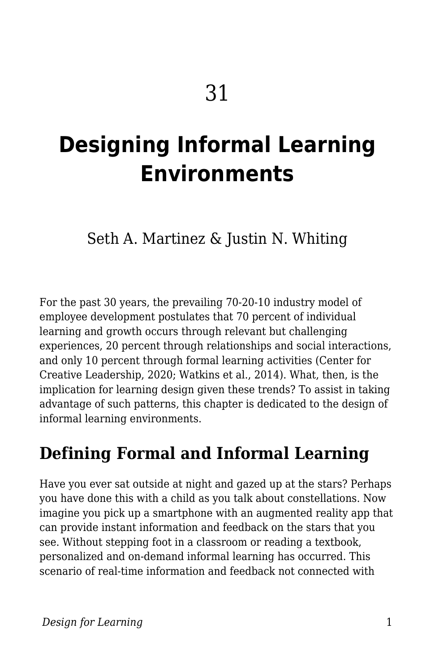# **Designing Informal Learning Environments**

### Seth A. Martinez & Justin N. Whiting

For the past 30 years, the prevailing 70-20-10 industry model of employee development postulates that 70 percent of individual learning and growth occurs through relevant but challenging experiences, 20 percent through relationships and social interactions, and only 10 percent through formal learning activities (Center for Creative Leadership, 2020; Watkins et al., 2014). What, then, is the implication for learning design given these trends? To assist in taking advantage of such patterns, this chapter is dedicated to the design of informal learning environments.

### **Defining Formal and Informal Learning**

Have you ever sat outside at night and gazed up at the stars? Perhaps you have done this with a child as you talk about constellations. Now imagine you pick up a smartphone with an augmented reality app that can provide instant information and feedback on the stars that you see. Without stepping foot in a classroom or reading a textbook, personalized and on-demand informal learning has occurred. This scenario of real-time information and feedback not connected with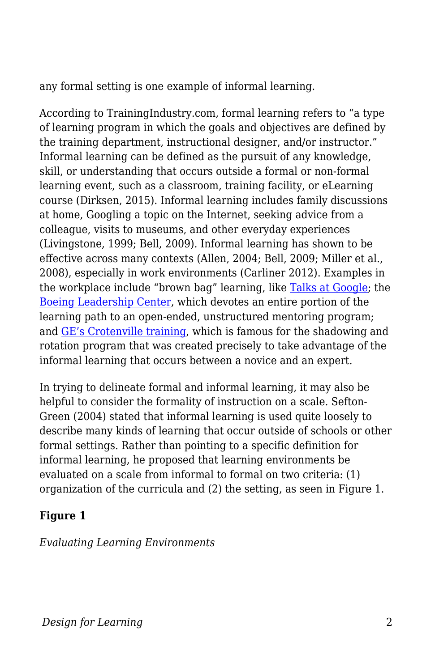any formal setting is one example of informal learning.

According to TrainingIndustry.com, formal learning refers to "a type of learning program in which the goals and objectives are defined by the training department, instructional designer, and/or instructor." Informal learning can be defined as the pursuit of any knowledge, skill, or understanding that occurs outside a formal or non-formal learning event, such as a classroom, training facility, or eLearning course (Dirksen, 2015). Informal learning includes family discussions at home, Googling a topic on the Internet, seeking advice from a colleague, visits to museums, and other everyday experiences (Livingstone, 1999; Bell, 2009). Informal learning has shown to be effective across many contexts (Allen, 2004; Bell, 2009; Miller et al., 2008), especially in work environments (Carliner 2012). Examples in the workplace include "brown bag" learning, like [Talks at Google;](https://talksat.withgoogle.com/) the [Boeing Leadership Center,](https://www.boeing.com/news/frontiers/archive/2006/august/cover.pdf) which devotes an entire portion of the learning path to an open-ended, unstructured mentoring program; and [GE's Crotenville training](https://jobs.gecareers.com/global/en/crotonville), which is famous for the shadowing and rotation program that was created precisely to take advantage of the informal learning that occurs between a novice and an expert.

In trying to delineate formal and informal learning, it may also be helpful to consider the formality of instruction on a scale. Sefton-Green (2004) stated that informal learning is used quite loosely to describe many kinds of learning that occur outside of schools or other formal settings. Rather than pointing to a specific definition for informal learning, he proposed that learning environments be evaluated on a scale from informal to formal on two criteria: (1) organization of the curricula and (2) the setting, as seen in Figure 1.

#### **Figure 1**

*Evaluating Learning Environments*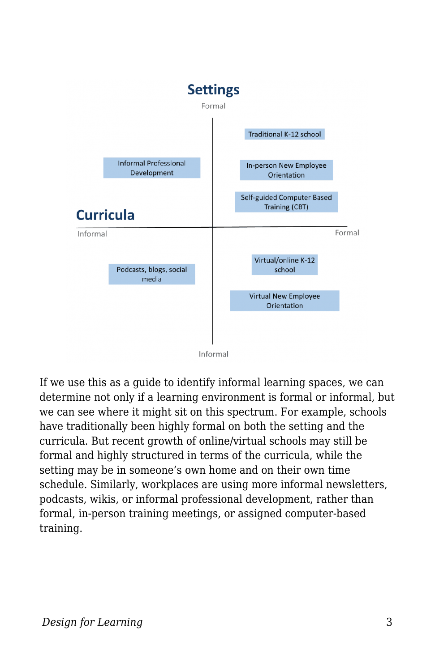

If we use this as a guide to identify informal learning spaces, we can determine not only if a learning environment is formal or informal, but we can see where it might sit on this spectrum. For example, schools have traditionally been highly formal on both the setting and the curricula. But recent growth of online/virtual schools may still be formal and highly structured in terms of the curricula, while the setting may be in someone's own home and on their own time schedule. Similarly, workplaces are using more informal newsletters, podcasts, wikis, or informal professional development, rather than formal, in-person training meetings, or assigned computer-based training.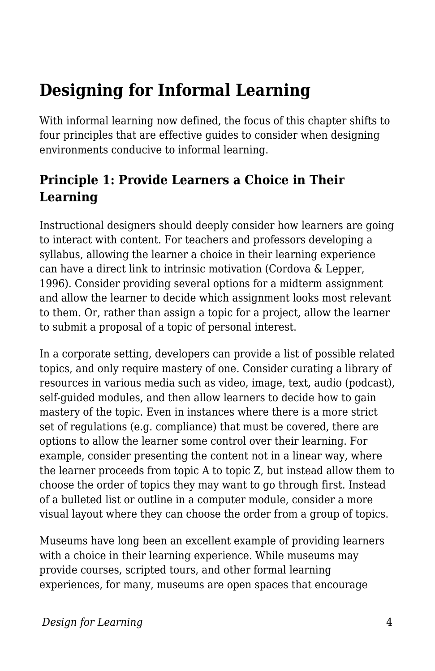# **Designing for Informal Learning**

With informal learning now defined, the focus of this chapter shifts to four principles that are effective guides to consider when designing environments conducive to informal learning.

#### **Principle 1: Provide Learners a Choice in Their Learning**

Instructional designers should deeply consider how learners are going to interact with content. For teachers and professors developing a syllabus, allowing the learner a choice in their learning experience can have a direct link to intrinsic motivation (Cordova & Lepper, 1996). Consider providing several options for a midterm assignment and allow the learner to decide which assignment looks most relevant to them. Or, rather than assign a topic for a project, allow the learner to submit a proposal of a topic of personal interest.

In a corporate setting, developers can provide a list of possible related topics, and only require mastery of one. Consider curating a library of resources in various media such as video, image, text, audio (podcast), self-guided modules, and then allow learners to decide how to gain mastery of the topic. Even in instances where there is a more strict set of regulations (e.g. compliance) that must be covered, there are options to allow the learner some control over their learning. For example, consider presenting the content not in a linear way, where the learner proceeds from topic A to topic Z, but instead allow them to choose the order of topics they may want to go through first. Instead of a bulleted list or outline in a computer module, consider a more visual layout where they can choose the order from a group of topics.

Museums have long been an excellent example of providing learners with a choice in their learning experience. While museums may provide courses, scripted tours, and other formal learning experiences, for many, museums are open spaces that encourage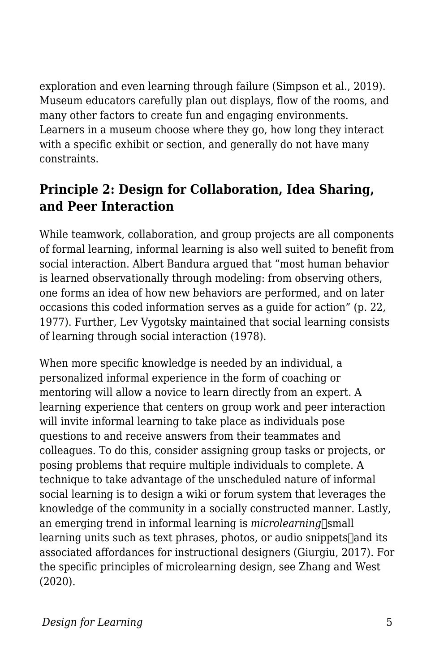exploration and even learning through failure (Simpson et al., 2019). Museum educators carefully plan out displays, flow of the rooms, and many other factors to create fun and engaging environments. Learners in a museum choose where they go, how long they interact with a specific exhibit or section, and generally do not have many constraints.

#### **Principle 2: Design for Collaboration, Idea Sharing, and Peer Interaction**

While teamwork, collaboration, and group projects are all components of formal learning, informal learning is also well suited to benefit from social interaction. Albert Bandura argued that "most human behavior is learned observationally through modeling: from observing others, one forms an idea of how new behaviors are performed, and on later occasions this coded information serves as a guide for action" (p. 22, 1977). Further, Lev Vygotsky maintained that social learning consists of learning through social interaction (1978).

When more specific knowledge is needed by an individual, a personalized informal experience in the form of coaching or mentoring will allow a novice to learn directly from an expert. A learning experience that centers on group work and peer interaction will invite informal learning to take place as individuals pose questions to and receive answers from their teammates and colleagues. To do this, consider assigning group tasks or projects, or posing problems that require multiple individuals to complete. A technique to take advantage of the unscheduled nature of informal social learning is to design a wiki or forum system that leverages the knowledge of the community in a socially constructed manner. Lastly, an emerging trend in informal learning is *microlearning*-small learning units such as text phrases, photos, or audio snippets $\lceil$ and its associated affordances for instructional designers (Giurgiu, 2017). For the specific principles of microlearning design, see Zhang and West (2020).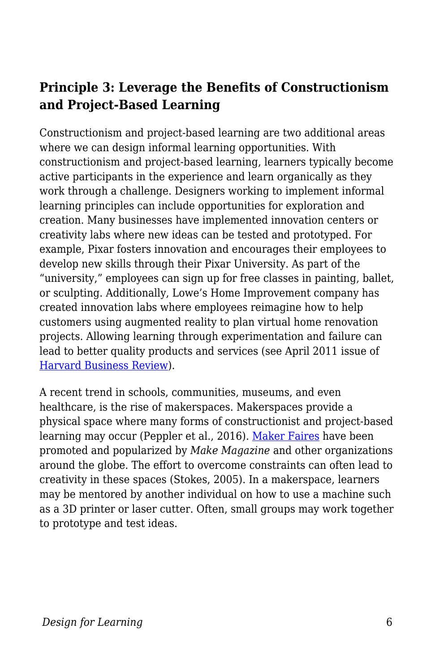#### **Principle 3: Leverage the Benefits of Constructionism and Project-Based Learning**

Constructionism and project-based learning are two additional areas where we can design informal learning opportunities. With constructionism and project-based learning, learners typically become active participants in the experience and learn organically as they work through a challenge. Designers working to implement informal learning principles can include opportunities for exploration and creation. Many businesses have implemented innovation centers or creativity labs where new ideas can be tested and prototyped. For example, Pixar fosters innovation and encourages their employees to develop new skills through their Pixar University. As part of the "university," employees can sign up for free classes in painting, ballet, or sculpting. Additionally, Lowe's Home Improvement company has created innovation labs where employees reimagine how to help customers using augmented reality to plan virtual home renovation projects. Allowing learning through experimentation and failure can lead to better quality products and services (see April 2011 issue of [Harvard Business Review](https://hbr.org/archive-toc/BR1104)).

A recent trend in schools, communities, museums, and even healthcare, is the rise of makerspaces. Makerspaces provide a physical space where many forms of constructionist and project-based learning may occur (Peppler et al., 2016). [Maker Faires](https://makerfaire.com/maker-movement/) have been promoted and popularized by *Make Magazine* and other organizations around the globe. The effort to overcome constraints can often lead to creativity in these spaces (Stokes, 2005). In a makerspace, learners may be mentored by another individual on how to use a machine such as a 3D printer or laser cutter. Often, small groups may work together to prototype and test ideas.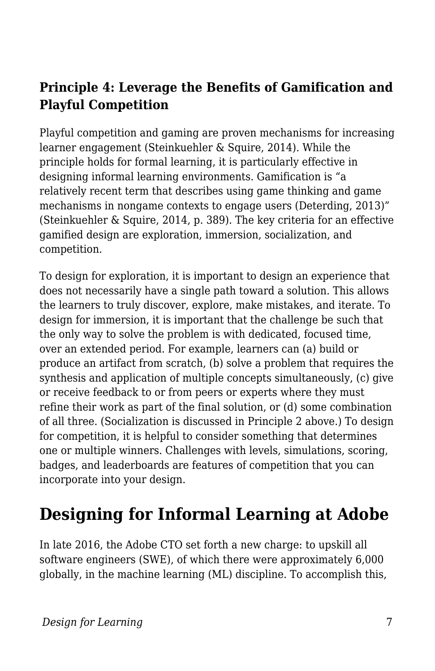#### **Principle 4: Leverage the Benefits of Gamification and Playful Competition**

Playful competition and gaming are proven mechanisms for increasing learner engagement (Steinkuehler & Squire, 2014). While the principle holds for formal learning, it is particularly effective in designing informal learning environments. Gamification is "a relatively recent term that describes using game thinking and game mechanisms in nongame contexts to engage users (Deterding, 2013)" (Steinkuehler & Squire, 2014, p. 389). The key criteria for an effective gamified design are exploration, immersion, socialization, and competition.

To design for exploration, it is important to design an experience that does not necessarily have a single path toward a solution. This allows the learners to truly discover, explore, make mistakes, and iterate. To design for immersion, it is important that the challenge be such that the only way to solve the problem is with dedicated, focused time, over an extended period. For example, learners can (a) build or produce an artifact from scratch, (b) solve a problem that requires the synthesis and application of multiple concepts simultaneously, (c) give or receive feedback to or from peers or experts where they must refine their work as part of the final solution, or (d) some combination of all three. (Socialization is discussed in Principle 2 above.) To design for competition, it is helpful to consider something that determines one or multiple winners. Challenges with levels, simulations, scoring, badges, and leaderboards are features of competition that you can incorporate into your design.

## **Designing for Informal Learning at Adobe**

In late 2016, the Adobe CTO set forth a new charge: to upskill all software engineers (SWE), of which there were approximately 6,000 globally, in the machine learning (ML) discipline. To accomplish this,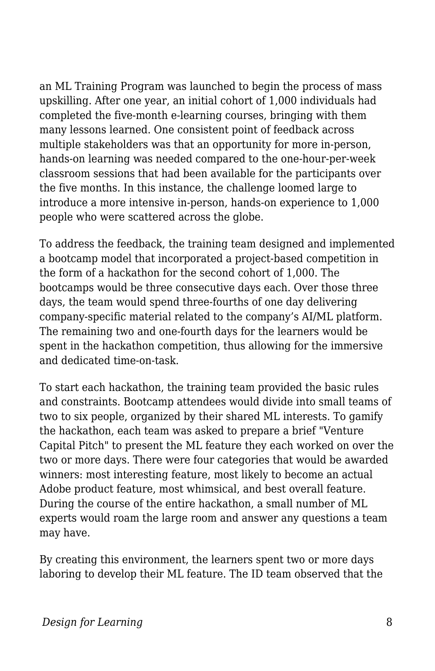an ML Training Program was launched to begin the process of mass upskilling. After one year, an initial cohort of 1,000 individuals had completed the five-month e-learning courses, bringing with them many lessons learned. One consistent point of feedback across multiple stakeholders was that an opportunity for more in-person, hands-on learning was needed compared to the one-hour-per-week classroom sessions that had been available for the participants over the five months. In this instance, the challenge loomed large to introduce a more intensive in-person, hands-on experience to 1,000 people who were scattered across the globe.

To address the feedback, the training team designed and implemented a bootcamp model that incorporated a project-based competition in the form of a hackathon for the second cohort of 1,000. The bootcamps would be three consecutive days each. Over those three days, the team would spend three-fourths of one day delivering company-specific material related to the company's AI/ML platform. The remaining two and one-fourth days for the learners would be spent in the hackathon competition, thus allowing for the immersive and dedicated time-on-task.

To start each hackathon, the training team provided the basic rules and constraints. Bootcamp attendees would divide into small teams of two to six people, organized by their shared ML interests. To gamify the hackathon, each team was asked to prepare a brief "Venture Capital Pitch" to present the ML feature they each worked on over the two or more days. There were four categories that would be awarded winners: most interesting feature, most likely to become an actual Adobe product feature, most whimsical, and best overall feature. During the course of the entire hackathon, a small number of ML experts would roam the large room and answer any questions a team may have.

By creating this environment, the learners spent two or more days laboring to develop their ML feature. The ID team observed that the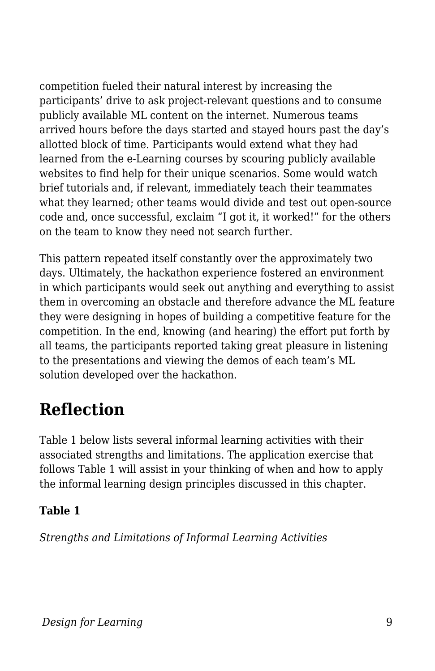competition fueled their natural interest by increasing the participants' drive to ask project-relevant questions and to consume publicly available ML content on the internet. Numerous teams arrived hours before the days started and stayed hours past the day's allotted block of time. Participants would extend what they had learned from the e-Learning courses by scouring publicly available websites to find help for their unique scenarios. Some would watch brief tutorials and, if relevant, immediately teach their teammates what they learned; other teams would divide and test out open-source code and, once successful, exclaim "I got it, it worked!" for the others on the team to know they need not search further.

This pattern repeated itself constantly over the approximately two days. Ultimately, the hackathon experience fostered an environment in which participants would seek out anything and everything to assist them in overcoming an obstacle and therefore advance the ML feature they were designing in hopes of building a competitive feature for the competition. In the end, knowing (and hearing) the effort put forth by all teams, the participants reported taking great pleasure in listening to the presentations and viewing the demos of each team's ML solution developed over the hackathon.

## **Reflection**

Table 1 below lists several informal learning activities with their associated strengths and limitations. The application exercise that follows Table 1 will assist in your thinking of when and how to apply the informal learning design principles discussed in this chapter.

#### **Table 1**

*Strengths and Limitations of Informal Learning Activities*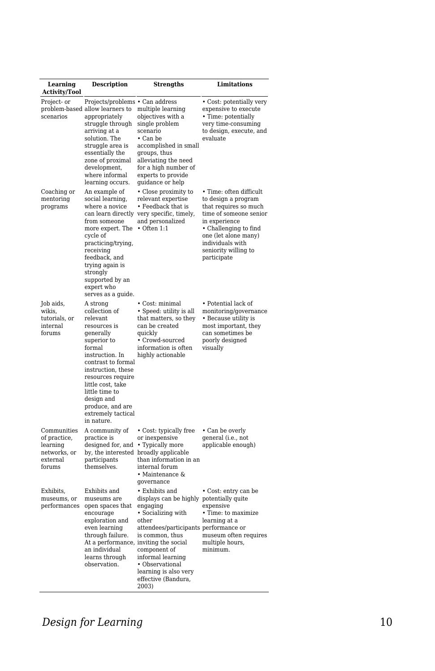| Learning<br><b>Activity/Tool</b>                                              | <b>Description</b>                                                                                                                                                                                                                                                                           | <b>Strengths</b>                                                                                                                                                                                                                                                                   | <b>Limitations</b>                                                                                                                                                                                                             |
|-------------------------------------------------------------------------------|----------------------------------------------------------------------------------------------------------------------------------------------------------------------------------------------------------------------------------------------------------------------------------------------|------------------------------------------------------------------------------------------------------------------------------------------------------------------------------------------------------------------------------------------------------------------------------------|--------------------------------------------------------------------------------------------------------------------------------------------------------------------------------------------------------------------------------|
| Project- or<br>scenarios                                                      | Projects/problems • Can address<br>problem-based allow learners to<br>appropriately<br>struggle through<br>arriving at a<br>solution. The<br>struggle area is<br>essentially the<br>zone of proximal<br>development,<br>where informal<br>learning occurs.                                   | multiple learning<br>objectives with a<br>single problem<br>scenario<br>• Can be<br>accomplished in small<br>groups, thus<br>alleviating the need<br>for a high number of<br>experts to provide<br>guidance or help                                                                | • Cost: potentially very<br>expensive to execute<br>• Time: potentially<br>very time-consuming<br>to design, execute, and<br>evaluate                                                                                          |
| Coaching or<br>mentoring<br>programs                                          | An example of<br>social learning,<br>where a novice<br>from someone<br>more expert. The • Often 1:1<br>cycle of<br>practicing/trying,<br>receiving<br>feedback, and<br>trying again is<br>strongly<br>supported by an<br>expert who<br>serves as a guide.                                    | • Close proximity to<br>relevant expertise<br>• Feedback that is<br>can learn directly very specific, timely,<br>and personalized                                                                                                                                                  | • Time: often difficult<br>to design a program<br>that requires so much<br>time of someone senior<br>in experience<br>• Challenging to find<br>one (let alone many)<br>individuals with<br>seniority willing to<br>participate |
| Job aids,<br>wikis,<br>tutorials, or<br>internal<br>forums                    | A strong<br>collection of<br>relevant<br>resources is<br>generally<br>superior to<br>formal<br>instruction. In<br>contrast to formal<br>instruction, these<br>resources require<br>little cost, take<br>little time to<br>design and<br>produce, and are<br>extremely tactical<br>in nature. | • Cost: minimal<br>• Speed: utility is all<br>that matters, so they<br>can be created<br>quickly<br>• Crowd-sourced<br>information is often<br>highly actionable                                                                                                                   | • Potential lack of<br>monitoring/governance<br>• Because utility is<br>most important, they<br>can sometimes be<br>poorly designed<br>visually                                                                                |
| Communities<br>of practice,<br>learning<br>networks, or<br>external<br>forums | A community of<br>practice is<br>designed for, and • Typically more<br>participants<br>themselves.                                                                                                                                                                                           | • Cost: typically free<br>or inexpensive<br>by, the interested broadly applicable<br>than information in an<br>internal forum<br>• Maintenance &<br>governance                                                                                                                     | • Can be overly<br>general (i.e., not<br>applicable enough)                                                                                                                                                                    |
| Exhibits,<br>museums, or<br>performances                                      | Exhibits and<br>museums are<br>open spaces that<br>encourage<br>exploration and<br>even learning<br>through failure.<br>At a performance, inviting the social<br>an individual<br>learns through<br>observation.                                                                             | • Exhibits and<br>displays can be highly potentially quite<br>engaging<br>• Socializing with<br>other<br>attendees/participants performance or<br>is common, thus<br>component of<br>informal learning<br>• Observational<br>learning is also very<br>effective (Bandura,<br>2003) | • Cost: entry can be<br>expensive<br>• Time: to maximize<br>learning at a<br>museum often requires<br>multiple hours,<br>minimum.                                                                                              |

#### **Design for Learning** 10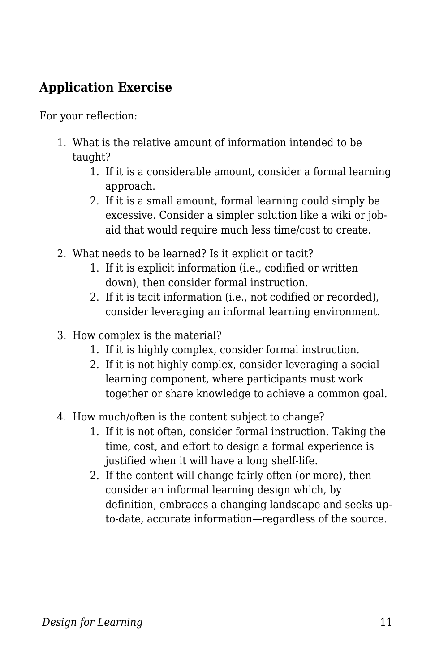#### **Application Exercise**

For your reflection:

- 1. What is the relative amount of information intended to be taught?
	- 1. If it is a considerable amount, consider a formal learning approach.
	- 2. If it is a small amount, formal learning could simply be excessive. Consider a simpler solution like a wiki or jobaid that would require much less time/cost to create.
- 2. What needs to be learned? Is it explicit or tacit?
	- 1. If it is explicit information (i.e., codified or written down), then consider formal instruction.
	- 2. If it is tacit information (i.e., not codified or recorded), consider leveraging an informal learning environment.
- 3. How complex is the material?
	- 1. If it is highly complex, consider formal instruction.
	- 2. If it is not highly complex, consider leveraging a social learning component, where participants must work together or share knowledge to achieve a common goal.
- 4. How much/often is the content subject to change?
	- 1. If it is not often, consider formal instruction. Taking the time, cost, and effort to design a formal experience is justified when it will have a long shelf-life.
	- 2. If the content will change fairly often (or more), then consider an informal learning design which, by definition, embraces a changing landscape and seeks upto-date, accurate information—regardless of the source.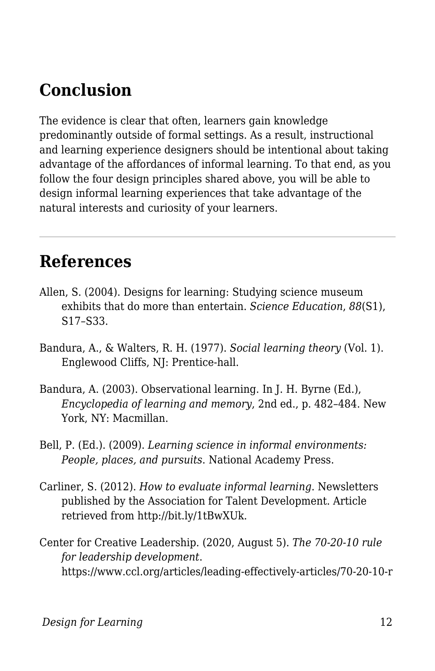# **Conclusion**

The evidence is clear that often, learners gain knowledge predominantly outside of formal settings. As a result, instructional and learning experience designers should be intentional about taking advantage of the affordances of informal learning. To that end, as you follow the four design principles shared above, you will be able to design informal learning experiences that take advantage of the natural interests and curiosity of your learners.

### **References**

- Allen, S. (2004). Designs for learning: Studying science museum exhibits that do more than entertain. *Science Education*, *88*(S1), S17–S33.
- Bandura, A., & Walters, R. H. (1977). *Social learning theory* (Vol. 1). Englewood Cliffs, NJ: Prentice-hall.
- Bandura, A. (2003). Observational learning. In J. H. Byrne (Ed.), *Encyclopedia of learning and memory*, 2nd ed., p. 482–484. New York, NY: Macmillan.
- Bell, P. (Ed.). (2009). *Learning science in informal environments: People, places, and pursuits*. National Academy Press.
- Carliner, S. (2012). *How to evaluate informal learning*. Newsletters published by the Association for Talent Development. Article retrieved from http://bit.ly/1tBwXUk.
- Center for Creative Leadership. (2020, August 5). *The 70-20-10 rule for leadership development*. https://www.ccl.org/articles/leading-effectively-articles/70-20-10-r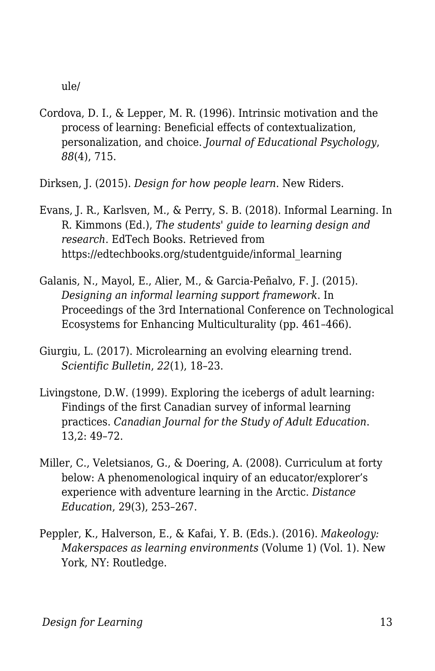ule/

- Cordova, D. I., & Lepper, M. R. (1996). Intrinsic motivation and the process of learning: Beneficial effects of contextualization, personalization, and choice. *Journal of Educational Psychology*, *88*(4), 715.
- Dirksen, J. (2015). *Design for how people learn*. New Riders.
- Evans, J. R., Karlsven, M., & Perry, S. B. (2018). Informal Learning. In R. Kimmons (Ed.), *The students' guide to learning design and research*. EdTech Books. Retrieved from https://edtechbooks.org/studentguide/informal\_learning
- Galanis, N., Mayol, E., Alier, M., & Garcia-Peñalvo, F. J. (2015). *Designing an informal learning support framework*. In Proceedings of the 3rd International Conference on Technological Ecosystems for Enhancing Multiculturality (pp. 461–466).
- Giurgiu, L. (2017). Microlearning an evolving elearning trend. *Scientific Bulletin*, *22*(1), 18–23.
- Livingstone, D.W. (1999). Exploring the icebergs of adult learning: Findings of the first Canadian survey of informal learning practices. *Canadian Journal for the Study of Adult Education*. 13,2: 49–72.
- Miller, C., Veletsianos, G., & Doering, A. (2008). Curriculum at forty below: A phenomenological inquiry of an educator/explorer's experience with adventure learning in the Arctic. *Distance Education*, 29(3), 253–267.
- Peppler, K., Halverson, E., & Kafai, Y. B. (Eds.). (2016). *Makeology: Makerspaces as learning environments* (Volume 1) (Vol. 1). New York, NY: Routledge.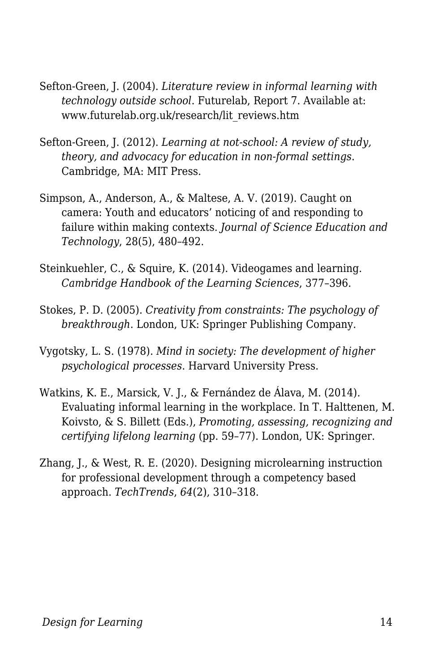- Sefton-Green, J. (2004). *Literature review in informal learning with technology outside school*. Futurelab, Report 7. Available at: www.futurelab.org.uk/research/lit\_reviews.htm
- Sefton-Green, J. (2012). *Learning at not-school: A review of study, theory, and advocacy for education in non-formal settings*. Cambridge, MA: MIT Press.
- Simpson, A., Anderson, A., & Maltese, A. V. (2019). Caught on camera: Youth and educators' noticing of and responding to failure within making contexts. *Journal of Science Education and Technology*, 28(5), 480–492.
- Steinkuehler, C., & Squire, K. (2014). Videogames and learning. *Cambridge Handbook of the Learning Sciences*, 377–396.
- Stokes, P. D. (2005). *Creativity from constraints: The psychology of breakthrough*. London, UK: Springer Publishing Company.
- Vygotsky, L. S. (1978). *Mind in society: The development of higher psychological processes*. Harvard University Press.
- Watkins, K. E., Marsick, V. J., & Fernández de Álava, M. (2014). Evaluating informal learning in the workplace. In T. Halttenen, M. Koivsto, & S. Billett (Eds.), *Promoting, assessing, recognizing and certifying lifelong learning* (pp. 59–77). London, UK: Springer.
- Zhang, J., & West, R. E. (2020). Designing microlearning instruction for professional development through a competency based approach. *TechTrends*, *64*(2), 310–318.